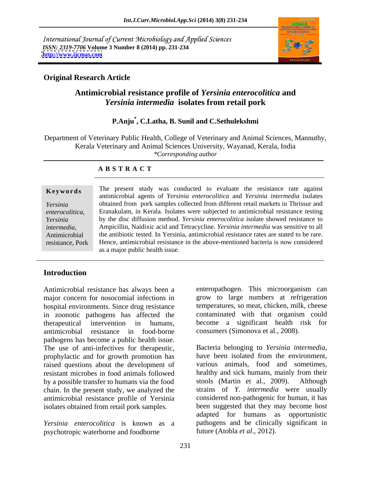International Journal of Current Microbiology and Applied Sciences *ISSN: 2319-7706* **Volume 3 Number 8 (2014) pp. 231-234 <http://www.ijcmas.com>**



### **Original Research Article**

# **Antimicrobial resistance profile of** *Yersinia enterocolitica* **and**  *Yersinia intermedia* **isolates from retail pork**

## **P.Anju\* , C.Latha, B. Sunil and C.Sethulekshmi**

Department of Veterinary Public Health, College of Veterinary and Animal Sciences, Mannuthy, Kerala Veterinary and Animal Sciences University, Wayanad, Kerala, India *\*Corresponding author* 

### **A B S T R A C T**

*enterocolitica*,

**Keywords** The present study was conducted to evaluate the resistance rate against *Yersinia*  obtained from pork samples collected from different retail markets in Thrissur and *Yersinia*  by the disc diffusion method. *Yersinia enterocolitica* isolate showed resistance to *intermedia*, Ampicillin, Naidixic acid and Tetracycline. *Yersinia intermedia* was sensitive to all the antibiotic tested. In Yersinia, antimicrobial resistance rates are stated to be rare. resistance, Pork Hence, antimicrobial resistance in the above-mentioned bacteria is now considered antimicrobial agents of *Yersinia enterocolitica* and *Yersinia intermedia* isolates Eranakulam, in Kerala. Isolates were subjected to antimicrobial resistance testing Ampicillin, Naidixic acid and Tetracycline. *Yersinia intermedia* was sensitive to all as a major public health issue.

### **Introduction**

Antimicrobial resistance has always been a major concern for nosocomial infections in hospital environments. Since drug resistance in zoonotic pathogens has affected the therapeutical intervention in humans, become a significant health risk for antimicrobial resistance in food-borne pathogens has become a public health issue. The use of anti-infectives for therapeutic, Bacteria belonging to Yersinia intermedia, prophylactic and for growth promotion has have been isolated from the environment, raised questions about the development of resistant microbes in food animals followed healthy and sick humans, mainly from their by a possible transfer to humans via the food stools (Martin et al., 2009). Although chain. In the present study, we analyzed the antimicrobial resistance profile of Yersinia isolates obtained from retail pork samples.

psychotropic waterborne and foodborne

enteropathogen. This microorganism can grow to large numbers at refrigeration temperatures, so meat, chicken, milk, cheese contaminated with that organism could consumers (Simonova et al., 2008).

*Yersinia enterocolitica* is known as a pathogens and be clinically significant in Bacteria belonging to *Yersinia intermedia*, have been isolated from the environment, various animals, food and sometimes, stools (Martin et al., 2009). Although strains of *Y. intermedia* were usually considered non-pathogenic for human, it has been suggested that they may become host adapted for humans as opportunistic future (Atobla *et al*., 2012).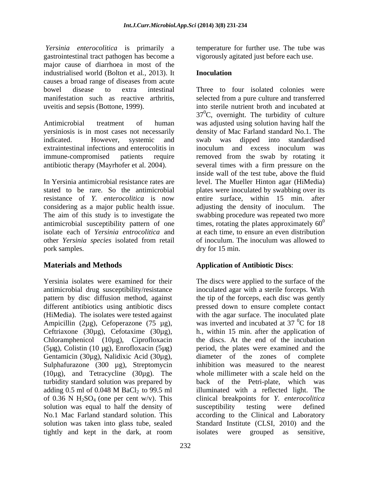*Yersinia enterocolitica* is primarily a temperature for further use. The tube was gastrointestinal tract pathogen has become a major cause of diarrhoea in most of the industrialised world (Bolton et al*.,* 2013). It causes a broad range of diseases from acute bowel disease to extra intestinal Three to four isolated colonies were manifestation such as reactive arthritis,

Antimicrobial treatment of human was adjusted using solution having half the yersiniosis is in most cases not necessarily indicated. However, systemic and swab was dipped into standardised extraintestinal infections and enterocolitis in immune-compromised patients require removed from the swab by rotating it antibiotic therapy (Mayrhofer et al. 2004).

In Yersinia antimicrobial resistance rates are level. The Mueller Hinton agar (HiMedia) stated to be rare. So the antimicrobial plates were inoculated by swabbing over its resistance of *Y. enterocolitica* is now considering as a major public health issue. adjusting the density of inoculum. The The aim of this study is to investigate the antimicrobial susceptibility pattern of one isolate each of *Yersinia entrocolitica* and at each time, to ensure an even distribution other *Yersinia species* isolated from retail of inoculum. The inoculum was allowed to other *Yersinia species* isolated from retail pork samples. dry for 15 min.

Ampicillin (2µg), Cefoperazone (75 µg), Chloramphenicol (10µg), Ciprofloxacin (5µg), Colistin (10 µg), Enrofloxacin (5µg) Gentamicin (30µg), Nalidixic Acid (30µg), Sulphafurazone (300 µg), Streptomycin  $(10\mu$ g), and Tetracycline  $(30\mu$ g). The solution was equal to half the density of susceptibility testing were defined tightly and kept in the dark, at room

vigorously agitated just before each use.

### **Inoculation**

uveitis and sepsis (Bottone, 1999). into sterile nutrient broth and incubated at selected from a pure culture and transferred  $37^{\circ}$ C, overnight. The turbidity of culture density of Mac Farland standard No.1. The inoculum and excess inoculum was several times with a firm pressure on the inside wall of the test tube, above the fluid entire surface, within 15 min. after adjusting the density of inoculum. swabbing procedure was repeated two more times, rotating the plates approximately  $60^{\circ}$ 0 at each time, to ensure an even distribution of inoculum. The inoculum was allowed to

## **Materials and Methods Application of Antibiotic Discs**:

Yersinia isolates were examined for their The discs were applied to the surface of the antimicrobial drug susceptibility/resistance inoculated agar with a sterile forceps. With pattern by disc diffusion method, against the tip of the forceps, each disc was gently different antibiotics using antibiotic discs pressed down to ensure complete contact (HiMedia). The isolates were tested against with the agar surface. The inoculated plate Ceftriaxone (30µg), Cefotaxime (30µg), h., within 15 min. after the application of turbidity standard solution was prepared by back of the Petri-plate, which was adding  $0.5$  ml of  $0.048$  M BaCl<sub>2</sub> to  $99.5$  ml illuminated with a reflected light. The of 0.36 N H2SO4 (one per cent w/v). This clinical breakpoints for *Y. enterocolitica* No.1 Mac Farland standard solution. This according to the Clinical and Laboratory solution was taken into glass tube, sealed Standard Institute (CLSI, 2010) and the was inverted and incubated at  $37 \degree$ C for 18  ${}^{0}C$  for 18 the discs. At the end of the incubation period, the plates were examined and the diameter of the zones of complete inhibition was measured to the nearest whole millimeter with a scale held on the illuminated with a reflected light. The susceptibility testing were defined isolates were grouped as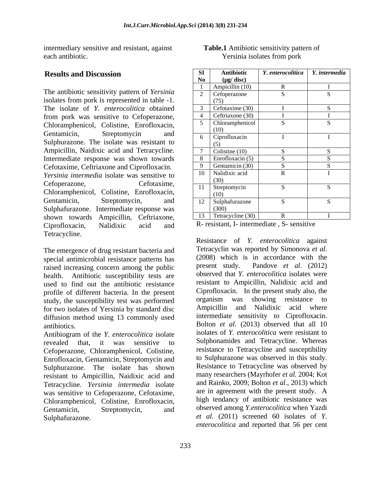intermediary sensitive and resistant, against each antibiotic. Yersinia isolates from pork

The antibiotic sensitivity pattern of *Yersinia*  isolates from pork is represented in table -1. The isolate of *Y. enterocolitica* obtained from pork was sensitive to Cefoperazone, Chloramphenicol, Colistine, Enrofloxacin, Sulphurazone. The isolate was resistant to Ampicillin, Naidixic acid and Tetracycline. Intermediate response was shown towards Cefotaxime, Ceftriaxone and Ciprofloxacin. *Yersinia intermedia* isolate was sensitive to Chloramphenicol, Colistine, Enrofloxacin, Sulphafurazone. Intermediate response was shown towards Ampicillin, Ceftriaxone, Ciprofloxacin, Nalidixic acid and R-resistant, I- intermediate S- sensitive Tetracycline.

special antimicrobial resistance patterns has (2008) which is<br>raised increasing concern among the public present study. raised increasing concern among the public health. Antibiotic susceptibility tests are used to find out the antibiotic resistance profile of different bacteria. In the present current controlloxial line present study also, the present study the susceptibility test was performed organism was showing resistance to study, the susceptibility test was performed for two isolates of Yersinia by standard disc diffusion method using 13 commonly used

Antibiogram of the *Y. enterocolitica* isolate revealed that, it was sensitive to Sulphonamides and Tetracycline. Whereas Cefoperazone, Chloramphenicol, Colistine, Enrofloxacin, Gentamicin, Streptomycin and Sulphurazone. The isolate has shown resistant to Ampicillin, Naidixic acid and Tetracycline. *Yersinia intermedia* isolate was sensitive to Cefoperazone, Cefotaxime, Chloramphenicol, Colistine, Enrofloxacin, Gentamicin, Streptomycin, and observed among *Y.enterocolitica* when Yazdi

| <b>Results and Discussion</b>                  | <b>Antibiotic</b>                    | Y. enterocolitica | Y. intermedia |
|------------------------------------------------|--------------------------------------|-------------------|---------------|
|                                                | $(\mu g/disc)$                       |                   |               |
| The antibiotic sensitivity pattern of Yersinia | Ampicillin (10)                      |                   |               |
| isolates from pork is represented in table -1. | $\angle$ Cefoperazone                |                   |               |
| The isolate of Y. enterocolitica obtained      | Cefotaxime $(30)$                    |                   |               |
| from pork was sensitive to Cefoperazone,       | Ceftriaxone (30)                     |                   |               |
| Chloramphenicol, Colistine, Enrofloxacin,      | Chloramphenicol                      |                   |               |
| Gentamicin,<br>Streptomycin<br>and             | 6 Ciprofloxacin                      |                   |               |
| Sulphurazone. The isolate was resistant to     |                                      |                   |               |
| Ampicillin, Naidixic acid and Tetracycline.    | Colistine $(10)$                     |                   |               |
| Intermediate response was shown towards        | 8 Enrofloxacin $(5)$                 |                   |               |
| Cefotaxime, Ceftriaxone and Ciprofloxacin.     | $\left\vert \right.$ Gentamicin (30) |                   |               |
| Yersinia intermedia isolate was sensitive to   | 10 Nalidixic acid                    |                   |               |
| Cefoperazone,<br>Cefotaxime,                   | 11 Streptomycin                      |                   |               |
| Chloramphenicol, Colistine, Enrofloxacin,      |                                      |                   |               |
| Gentamicin,<br>and<br>Streptomycin,            | 12   Sulphafurazone                  |                   |               |
| Sulphafurazone. Intermediate response was      |                                      |                   |               |
| shown towards Ampicillin, Ceftriaxone,         | 13 Tetracycline (30)                 |                   |               |

**Table.1** Antibiotic sensitivity pattern of

R- resistant, I- intermediate , S- sensitive

The emergence of drug resistant bacteria and<br>special antimicrobial resistance patterns has (2008) which is in accordance with the antibiotics. Bolton *et al.* (2013) observed that all 10 Sulphafurazone. *et al.* (2011) screened 60 isolates of *Y*. Resistance of *Y. enterocolitica* against Tetracyclin was reported by Simonova *et al*. (2008) which is in accordance with the Pandove *et al.* (2012) observed that *Y. enterocolitica* isolates were resistant to Ampicillin, Nalidixic acid and Ciprofloxacin. In the present study also, the organism was showing resistance to Ampicillin and Nalidixic acid where intermediate sensitivity to Ciprofloxacin. isolates of *Y. enterocolitica* were resistant to resistance to Tetracycline and susceptibility to Sulphurazone was observed in this study. Resistance to Tetracycline was observed by many researchers (Mayrhofer *et al*. 2004; Kot and Rainko, 2009; Bolton *et al*., 2013) which are in agreement with the present study. A high tendancy of antibiotic resistance was *enterocolitica* and reported that 56 per cent